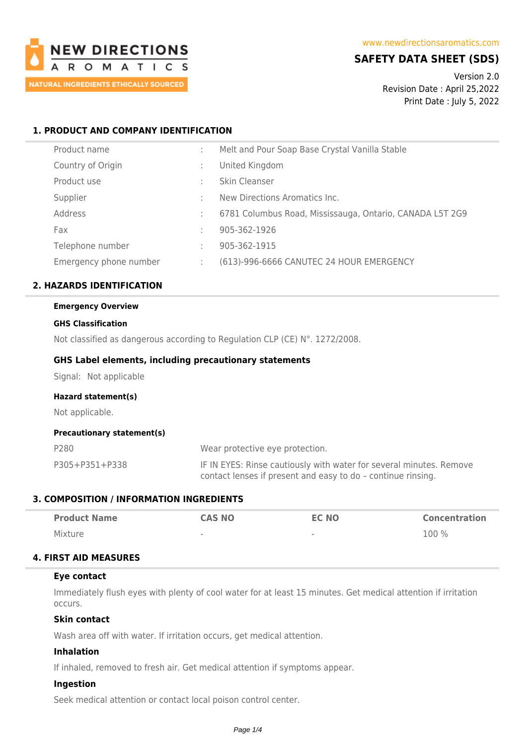

# **SAFETY DATA SHEET (SDS)**

Version 2.0 Revision Date : April 25,2022 Print Date : July 5, 2022

# **1. PRODUCT AND COMPANY IDENTIFICATION**

| Product name           | Melt and Pour Soap Base Crystal Vanilla Stable           |
|------------------------|----------------------------------------------------------|
| Country of Origin      | United Kingdom                                           |
| Product use            | Skin Cleanser                                            |
| Supplier               | New Directions Aromatics Inc.                            |
| Address                | 6781 Columbus Road, Mississauga, Ontario, CANADA L5T 2G9 |
| Fax                    | 905-362-1926                                             |
| Telephone number       | 905-362-1915                                             |
| Emergency phone number | (613)-996-6666 CANUTEC 24 HOUR EMERGENCY                 |

# **2. HAZARDS IDENTIFICATION**

# **Emergency Overview**

#### **GHS Classification**

Not classified as dangerous according to Regulation CLP (CE) N°. 1272/2008.

## **GHS Label elements, including precautionary statements**

Signal: Not applicable

#### **Hazard statement(s)**

Not applicable.

### **Precautionary statement(s)**

| P280           | Wear protective eye protection.                                                                                                     |
|----------------|-------------------------------------------------------------------------------------------------------------------------------------|
| P305+P351+P338 | IF IN EYES: Rinse cautiously with water for several minutes. Remove<br>contact lenses if present and easy to do - continue rinsing. |

# **3. COMPOSITION / INFORMATION INGREDIENTS**

| <b>Product Name</b> | <b>CAS NO</b>            | <b>EC NO</b>             | <b>Concentration</b> |
|---------------------|--------------------------|--------------------------|----------------------|
| Mixture             | $\overline{\phantom{a}}$ | $\overline{\phantom{a}}$ | 100 %                |

# **4. FIRST AID MEASURES**

# **Eye contact**

Immediately flush eyes with plenty of cool water for at least 15 minutes. Get medical attention if irritation occurs.

# **Skin contact**

Wash area off with water. If irritation occurs, get medical attention.

### **Inhalation**

If inhaled, removed to fresh air. Get medical attention if symptoms appear.

## **Ingestion**

Seek medical attention or contact local poison control center.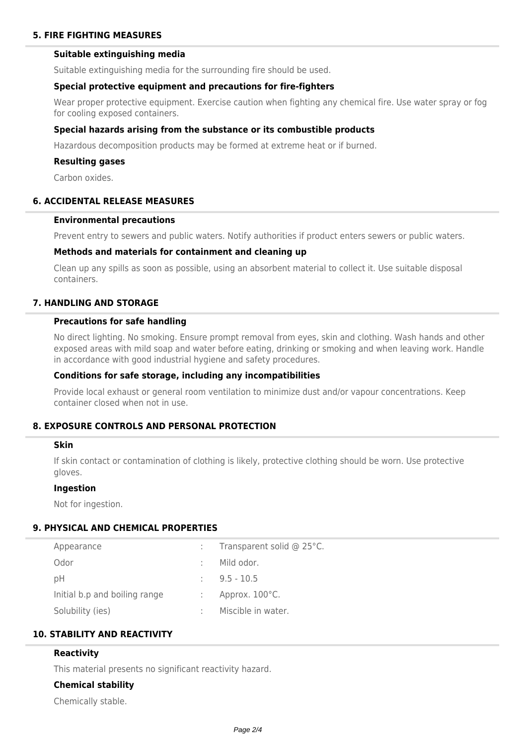# **5. FIRE FIGHTING MEASURES**

# **Suitable extinguishing media**

Suitable extinguishing media for the surrounding fire should be used.

#### **Special protective equipment and precautions for fire-fighters**

Wear proper protective equipment. Exercise caution when fighting any chemical fire. Use water spray or fog for cooling exposed containers.

## **Special hazards arising from the substance or its combustible products**

Hazardous decomposition products may be formed at extreme heat or if burned.

### **Resulting gases**

Carbon oxides.

# **6. ACCIDENTAL RELEASE MEASURES**

# **Environmental precautions**

Prevent entry to sewers and public waters. Notify authorities if product enters sewers or public waters.

#### **Methods and materials for containment and cleaning up**

Clean up any spills as soon as possible, using an absorbent material to collect it. Use suitable disposal containers.

## **7. HANDLING AND STORAGE**

#### **Precautions for safe handling**

No direct lighting. No smoking. Ensure prompt removal from eyes, skin and clothing. Wash hands and other exposed areas with mild soap and water before eating, drinking or smoking and when leaving work. Handle in accordance with good industrial hygiene and safety procedures.

# **Conditions for safe storage, including any incompatibilities**

Provide local exhaust or general room ventilation to minimize dust and/or vapour concentrations. Keep container closed when not in use.

# **8. EXPOSURE CONTROLS AND PERSONAL PROTECTION**

#### **Skin**

If skin contact or contamination of clothing is likely, protective clothing should be worn. Use protective gloves.

### **Ingestion**

Not for ingestion.

# **9. PHYSICAL AND CHEMICAL PROPERTIES**

| Appearance                    | ÷ | Transparent solid @ 25°C. |
|-------------------------------|---|---------------------------|
| Odor                          |   | Mild odor.                |
| рH                            |   | $9.5 - 10.5$              |
| Initial b.p and boiling range |   | Approx. 100°C.            |
| Solubility (ies)              |   | Miscible in water.        |
|                               |   |                           |

# **10. STABILITY AND REACTIVITY**

## **Reactivity**

This material presents no significant reactivity hazard.

# **Chemical stability**

Chemically stable.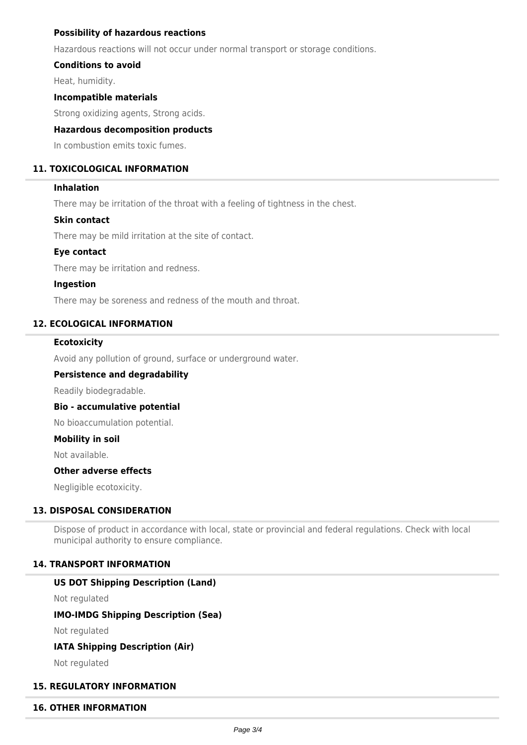# **Possibility of hazardous reactions**

Hazardous reactions will not occur under normal transport or storage conditions.

# **Conditions to avoid**

Heat, humidity.

# **Incompatible materials**

Strong oxidizing agents, Strong acids.

# **Hazardous decomposition products**

In combustion emits toxic fumes.

# **11. TOXICOLOGICAL INFORMATION**

# **Inhalation**

There may be irritation of the throat with a feeling of tightness in the chest.

# **Skin contact**

There may be mild irritation at the site of contact.

## **Eye contact**

There may be irritation and redness.

## **Ingestion**

There may be soreness and redness of the mouth and throat.

# **12. ECOLOGICAL INFORMATION**

## **Ecotoxicity**

Avoid any pollution of ground, surface or underground water.

# **Persistence and degradability**

Readily biodegradable.

#### **Bio - accumulative potential**

No bioaccumulation potential.

#### **Mobility in soil**

Not available.

### **Other adverse effects**

Negligible ecotoxicity.

# **13. DISPOSAL CONSIDERATION**

Dispose of product in accordance with local, state or provincial and federal regulations. Check with local municipal authority to ensure compliance.

# **14. TRANSPORT INFORMATION**

# **US DOT Shipping Description (Land)**

Not regulated

# **IMO-IMDG Shipping Description (Sea)**

Not regulated

# **IATA Shipping Description (Air)**

Not regulated

# **15. REGULATORY INFORMATION**

#### **16. OTHER INFORMATION**